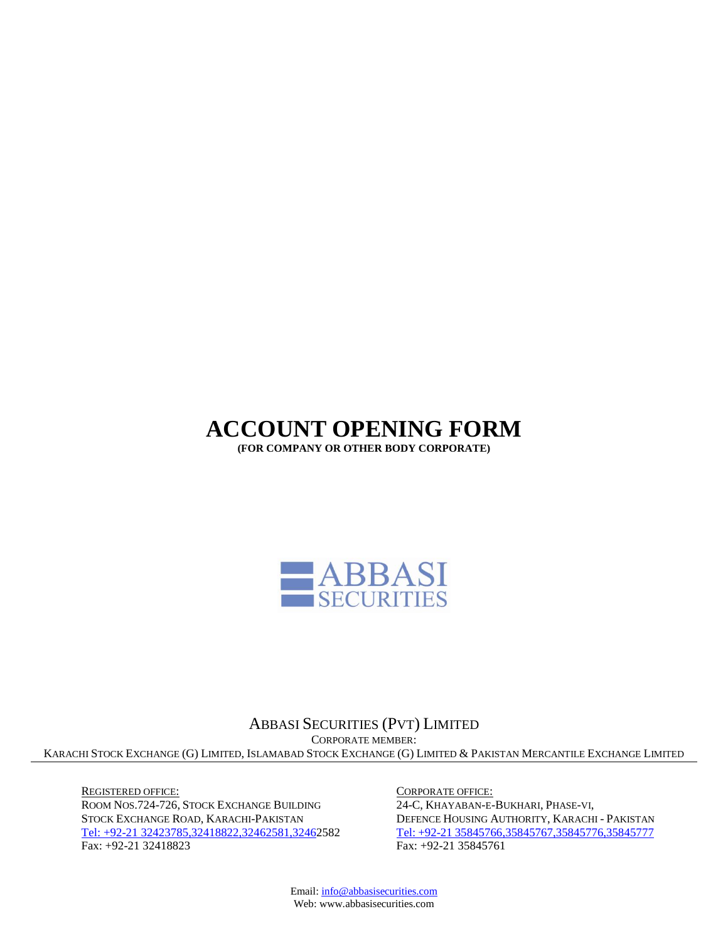# **ACCOUNT OPENING FORM**

**(FOR COMPANY OR OTHER BODY CORPORATE)**



# ABBASI SECURITIES (PVT) LIMITED CORPORATE MEMBER: KARACHI STOCK EXCHANGE (G) LIMITED, ISLAMABAD STOCK EXCHANGE (G) LIMITED & PAKISTAN MERCANTILE EXCHANGE LIMITED

REGISTERED OFFICE: ROOM NOS.724-726, STOCK EXCHANGE BUILDING STOCK EXCHANGE ROAD, KARACHI-PAKISTAN Tel: +92-21 [32423785,32418822,32462581,32462](Tel:+92-2132423785,32418822,32410228,32424866)582 Fax: +92-21 32418823

CORPORATE OFFICE:

24-C, KHAYABAN-E-BUKHARI, PHASE-VI, DEFENCE HOUSING AUTHORITY, KARACHI - PAKISTAN Tel: +92-21 [35845766,35845767,35845776,35845777](Tel:+92-2132423785,32418822,32410228,32424866) Fax: +92-21 35845761

Email[: info@abbasisecurities.com](mailto:info@abbasisecurities.com) Web: www.abbasisecurities.com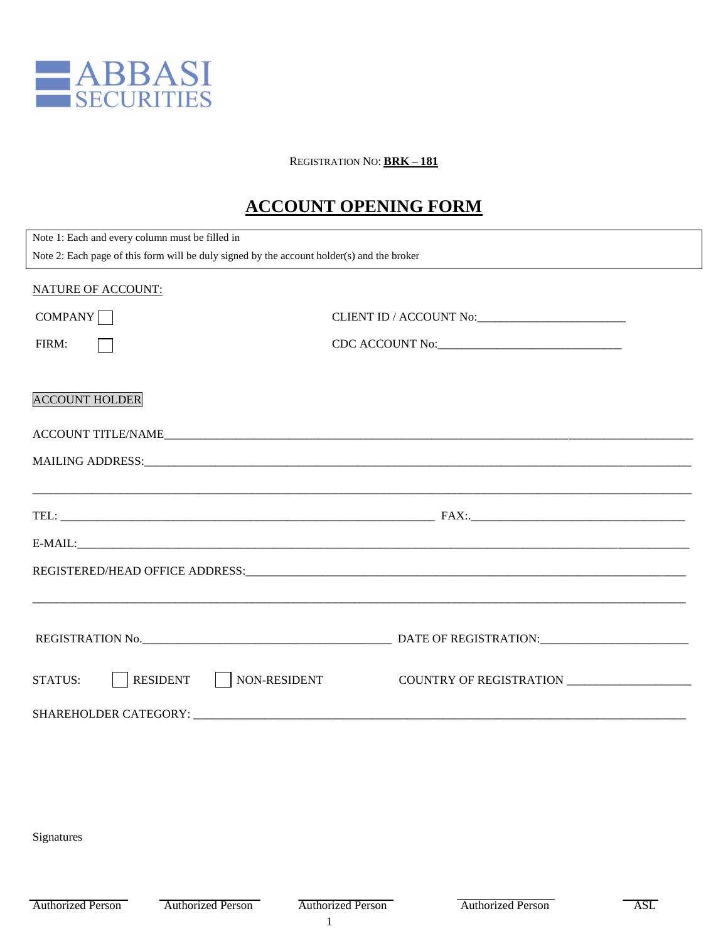

# REGISTRATION NO: **BRK – 181**

# **ACCOUNT OPENING FORM**

| Note 1: Each and every column must be filled in                                            |                 |
|--------------------------------------------------------------------------------------------|-----------------|
| Note 2: Each page of this form will be duly signed by the account holder(s) and the broker |                 |
| <b>NATURE OF ACCOUNT:</b>                                                                  |                 |
| COMPANY                                                                                    |                 |
| FIRM:                                                                                      | CDC ACCOUNT No: |
| <b>ACCOUNT HOLDER</b>                                                                      |                 |
|                                                                                            |                 |
|                                                                                            |                 |
|                                                                                            |                 |
|                                                                                            |                 |
|                                                                                            |                 |
|                                                                                            |                 |
|                                                                                            |                 |
|                                                                                            |                 |
| <b>RESIDENT</b><br>NON-RESIDENT<br><b>STATUS:</b>                                          |                 |
|                                                                                            |                 |

Signatures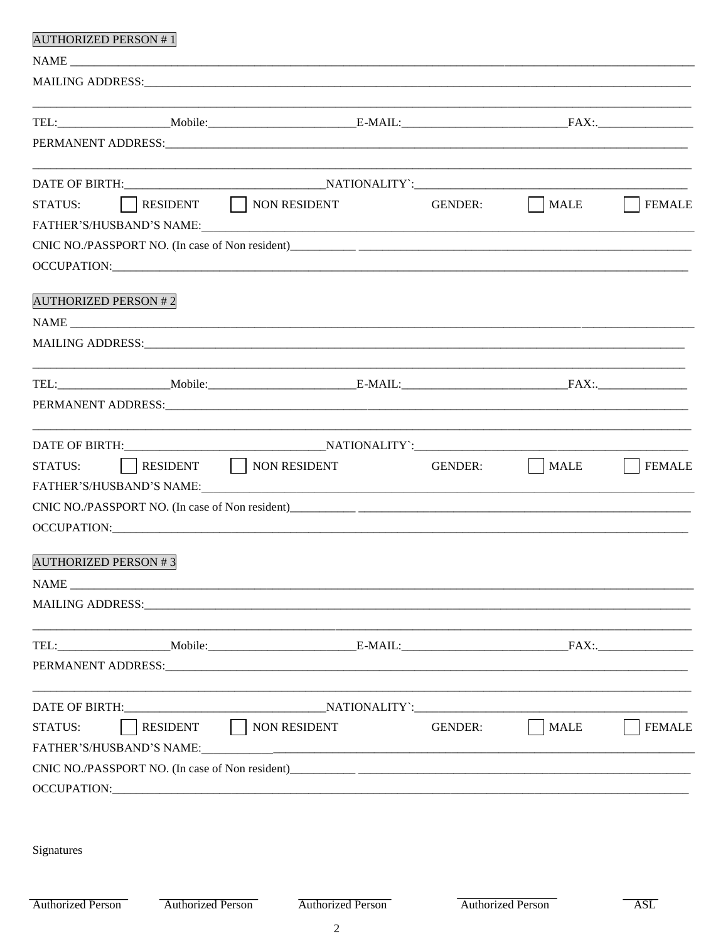| <b>AUTHORIZED PERSON #1</b>                                                                                                                                                                                                    |                   |                                |                         |
|--------------------------------------------------------------------------------------------------------------------------------------------------------------------------------------------------------------------------------|-------------------|--------------------------------|-------------------------|
|                                                                                                                                                                                                                                |                   |                                |                         |
|                                                                                                                                                                                                                                |                   |                                |                         |
|                                                                                                                                                                                                                                |                   |                                |                         |
|                                                                                                                                                                                                                                |                   |                                |                         |
| PERMANENT ADDRESS: NAMEL AND THE RESERVE OF PERMANENT ADDRESS:                                                                                                                                                                 |                   |                                |                         |
|                                                                                                                                                                                                                                |                   |                                |                         |
| RESIDENT NON RESIDENT<br>STATUS:                                                                                                                                                                                               |                   | GENDER:<br>$\vert$ MALE        | <b>FEMALE</b>           |
|                                                                                                                                                                                                                                |                   |                                |                         |
|                                                                                                                                                                                                                                |                   |                                |                         |
|                                                                                                                                                                                                                                |                   |                                |                         |
| <b>AUTHORIZED PERSON #2</b>                                                                                                                                                                                                    |                   |                                |                         |
| NAME                                                                                                                                                                                                                           |                   |                                |                         |
|                                                                                                                                                                                                                                |                   |                                |                         |
|                                                                                                                                                                                                                                |                   |                                |                         |
|                                                                                                                                                                                                                                |                   |                                |                         |
|                                                                                                                                                                                                                                |                   |                                |                         |
|                                                                                                                                                                                                                                |                   |                                |                         |
| RESIDENT NON RESIDENT<br><b>STATUS:</b>                                                                                                                                                                                        |                   | $\vert$ MALE<br><b>GENDER:</b> | <b>FEMALE</b>           |
|                                                                                                                                                                                                                                |                   |                                |                         |
|                                                                                                                                                                                                                                |                   |                                |                         |
| OCCUPATION: CONSERVERS OF THE CONSERVERS OF THE CONSERVERS OF THE CONSERVERS OF THE CONSERVERS OF THE CONSERVERS OF THE CONSERVERS OF THE CONSERVERS OF THE CONSERVERS OF THE CONSERVERS OF THE CONSERVERS OF THE CONSERVERS O |                   |                                |                         |
| <b>AUTHORIZED PERSON #3</b>                                                                                                                                                                                                    |                   |                                |                         |
|                                                                                                                                                                                                                                |                   |                                |                         |
|                                                                                                                                                                                                                                |                   |                                |                         |
|                                                                                                                                                                                                                                |                   |                                |                         |
|                                                                                                                                                                                                                                |                   |                                |                         |
|                                                                                                                                                                                                                                |                   |                                |                         |
|                                                                                                                                                                                                                                |                   |                                |                         |
| RESIDENT   NON RESIDENT<br><b>STATUS:</b>                                                                                                                                                                                      |                   | MALE<br><b>GENDER:</b>         | <b>FEMALE</b>           |
| FATHER'S/HUSBAND'S NAME:                                                                                                                                                                                                       |                   |                                |                         |
|                                                                                                                                                                                                                                |                   |                                |                         |
|                                                                                                                                                                                                                                |                   |                                |                         |
|                                                                                                                                                                                                                                |                   |                                |                         |
|                                                                                                                                                                                                                                |                   |                                |                         |
| Signatures                                                                                                                                                                                                                     |                   |                                |                         |
|                                                                                                                                                                                                                                |                   |                                |                         |
| <b>Authorized Person</b><br><b>Authorized Person</b>                                                                                                                                                                           | Authorized Person | <b>Authorized Person</b>       | $\overline{\text{ASL}}$ |
|                                                                                                                                                                                                                                |                   |                                |                         |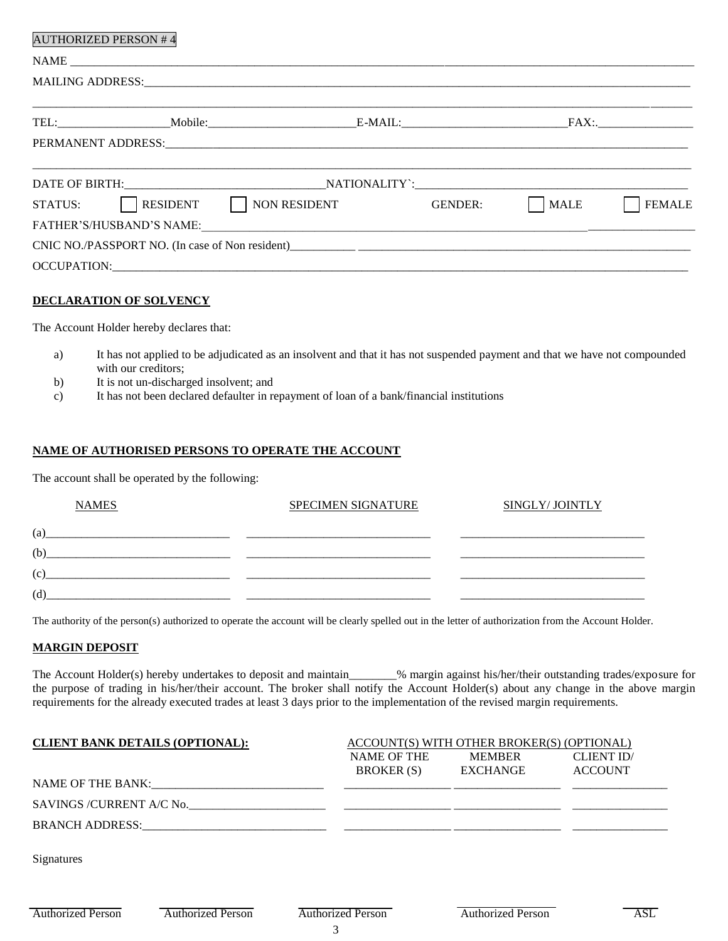| <b>AUTHORIZED PERSON #4</b>                                                                                                                                                                                                    |                              |
|--------------------------------------------------------------------------------------------------------------------------------------------------------------------------------------------------------------------------------|------------------------------|
|                                                                                                                                                                                                                                |                              |
| MAILING ADDRESS: Universe of the contract of the contract of the contract of the contract of the contract of the contract of the contract of the contract of the contract of the contract of the contract of the contract of t |                              |
|                                                                                                                                                                                                                                |                              |
|                                                                                                                                                                                                                                |                              |
|                                                                                                                                                                                                                                |                              |
| STATUS: RESIDENT NON RESIDENT GENDER:                                                                                                                                                                                          | <b>MALE</b><br><b>FEMALE</b> |
| FATHER'S/HUSBAND'S NAME: University of the state of the state of the state of the state of the state of the state of the state of the state of the state of the state of the state of the state of the state of the state of t |                              |
|                                                                                                                                                                                                                                |                              |
|                                                                                                                                                                                                                                |                              |

### **DECLARATION OF SOLVENCY**

The Account Holder hereby declares that:

- a) It has not applied to be adjudicated as an insolvent and that it has not suspended payment and that we have not compounded with our creditors;
- b) It is not un-discharged insolvent; and
- c) It has not been declared defaulter in repayment of loan of a bank/financial institutions

# **NAME OF AUTHORISED PERSONS TO OPERATE THE ACCOUNT**

The account shall be operated by the following:

| <b>NAMES</b> | <b>SPECIMEN SIGNATURE</b> | SINGLY/JOINTLY |
|--------------|---------------------------|----------------|
| (a)          |                           |                |
| (b)          |                           |                |
| (c)          |                           |                |
| (d)          |                           |                |

The authority of the person(s) authorized to operate the account will be clearly spelled out in the letter of authorization from the Account Holder.

#### **MARGIN DEPOSIT**

The Account Holder(s) hereby undertakes to deposit and maintain\_\_\_\_\_\_\_\_% margin against his/her/their outstanding trades/exposure for the purpose of trading in his/her/their account. The broker shall notify the Account Holder(s) about any change in the above margin requirements for the already executed trades at least 3 days prior to the implementation of the revised margin requirements.

| <b>CLIENT BANK DETAILS (OPTIONAL):</b> |                           | ACCOUNT(S) WITH OTHER BROKER(S) (OPTIONAL) |                          |                   |  |  |  |  |  |  |
|----------------------------------------|---------------------------|--------------------------------------------|--------------------------|-------------------|--|--|--|--|--|--|
|                                        |                           | <b>NAME OF THE</b>                         | <b>MEMBER</b>            | <b>CLIENT ID/</b> |  |  |  |  |  |  |
|                                        |                           | <b>BROKER</b> (S)                          | <b>EXCHANGE</b>          | <b>ACCOUNT</b>    |  |  |  |  |  |  |
| NAME OF THE BANK:                      |                           |                                            |                          |                   |  |  |  |  |  |  |
|                                        | SAVINGS / CURRENT A/C No. |                                            |                          |                   |  |  |  |  |  |  |
| <b>BRANCH ADDRESS:</b>                 |                           |                                            |                          |                   |  |  |  |  |  |  |
|                                        |                           |                                            |                          |                   |  |  |  |  |  |  |
| Signatures                             |                           |                                            |                          |                   |  |  |  |  |  |  |
|                                        |                           |                                            |                          |                   |  |  |  |  |  |  |
|                                        |                           |                                            |                          |                   |  |  |  |  |  |  |
| <b>Authorized Person</b>               | <b>Authorized Person</b>  | <b>Authorized Person</b>                   | <b>Authorized Person</b> | <b>ASL</b>        |  |  |  |  |  |  |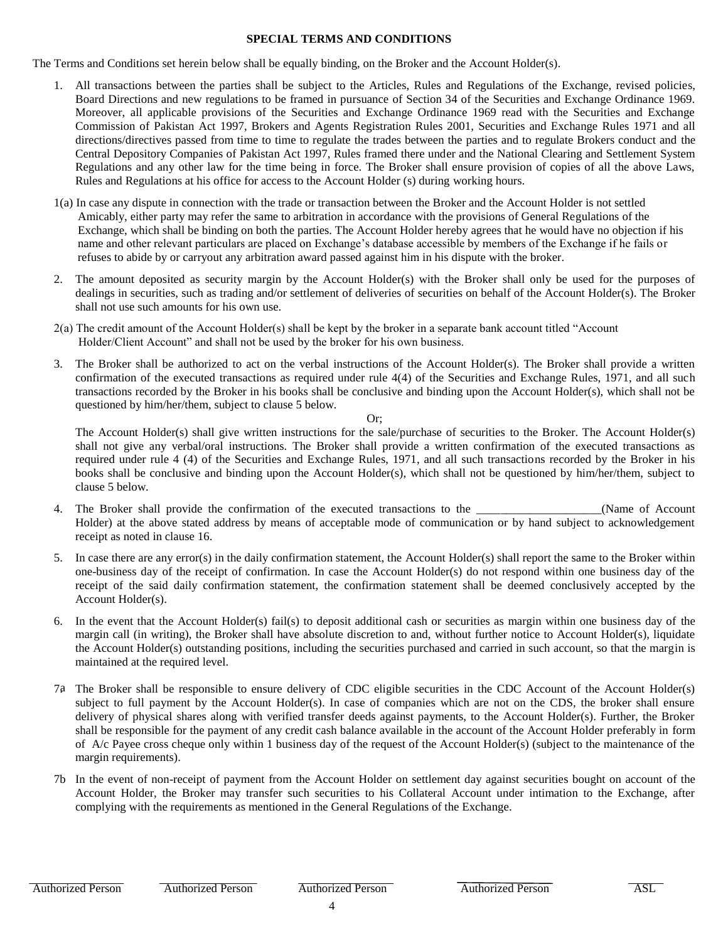### **SPECIAL TERMS AND CONDITIONS**

The Terms and Conditions set herein below shall be equally binding, on the Broker and the Account Holder(s).

- 1. All transactions between the parties shall be subject to the Articles, Rules and Regulations of the Exchange, revised policies, Board Directions and new regulations to be framed in pursuance of Section 34 of the Securities and Exchange Ordinance 1969. Moreover, all applicable provisions of the Securities and Exchange Ordinance 1969 read with the Securities and Exchange Commission of Pakistan Act 1997, Brokers and Agents Registration Rules 2001, Securities and Exchange Rules 1971 and all directions/directives passed from time to time to regulate the trades between the parties and to regulate Brokers conduct and the Central Depository Companies of Pakistan Act 1997, Rules framed there under and the National Clearing and Settlement System Regulations and any other law for the time being in force. The Broker shall ensure provision of copies of all the above Laws, Rules and Regulations at his office for access to the Account Holder (s) during working hours.
- 1(a) In case any dispute in connection with the trade or transaction between the Broker and the Account Holder is not settled Amicably, either party may refer the same to arbitration in accordance with the provisions of General Regulations of the Exchange, which shall be binding on both the parties. The Account Holder hereby agrees that he would have no objection if his name and other relevant particulars are placed on Exchange"s database accessible by members of the Exchange if he fails or refuses to abide by or carryout any arbitration award passed against him in his dispute with the broker.
- 2. The amount deposited as security margin by the Account Holder(s) with the Broker shall only be used for the purposes of dealings in securities, such as trading and/or settlement of deliveries of securities on behalf of the Account Holder(s). The Broker shall not use such amounts for his own use.
- 2(a) The credit amount of the Account Holder(s) shall be kept by the broker in a separate bank account titled "Account Holder/Client Account" and shall not be used by the broker for his own business.
- 3. The Broker shall be authorized to act on the verbal instructions of the Account Holder(s). The Broker shall provide a written confirmation of the executed transactions as required under rule 4(4) of the Securities and Exchange Rules, 1971, and all such transactions recorded by the Broker in his books shall be conclusive and binding upon the Account Holder(s), which shall not be questioned by him/her/them, subject to clause 5 below.

Or;

The Account Holder(s) shall give written instructions for the sale/purchase of securities to the Broker. The Account Holder(s) shall not give any verbal/oral instructions. The Broker shall provide a written confirmation of the executed transactions as required under rule 4 (4) of the Securities and Exchange Rules, 1971, and all such transactions recorded by the Broker in his books shall be conclusive and binding upon the Account Holder(s), which shall not be questioned by him/her/them, subject to clause 5 below.

- 4. The Broker shall provide the confirmation of the executed transactions to the \_\_\_\_\_\_\_\_\_\_\_\_\_\_\_\_\_\_(Name of Account Holder) at the above stated address by means of acceptable mode of communication or by hand subject to acknowledgement receipt as noted in clause 16.
- 5. In case there are any error(s) in the daily confirmation statement, the Account Holder(s) shall report the same to the Broker within one-business day of the receipt of confirmation. In case the Account Holder(s) do not respond within one business day of the receipt of the said daily confirmation statement, the confirmation statement shall be deemed conclusively accepted by the Account Holder(s).
- 6. In the event that the Account Holder(s) fail(s) to deposit additional cash or securities as margin within one business day of the margin call (in writing), the Broker shall have absolute discretion to and, without further notice to Account Holder(s), liquidate the Account Holder(s) outstanding positions, including the securities purchased and carried in such account, so that the margin is maintained at the required level.
- 74 The Broker shall be responsible to ensure delivery of CDC eligible securities in the CDC Account of the Account Holder(s) subject to full payment by the Account Holder(s). In case of companies which are not on the CDS, the broker shall ensure delivery of physical shares along with verified transfer deeds against payments, to the Account Holder(s). Further, the Broker shall be responsible for the payment of any credit cash balance available in the account of the Account Holder preferably in form of A/c Payee cross cheque only within 1 business day of the request of the Account Holder(s) (subject to the maintenance of the margin requirements).
- 7b In the event of non-receipt of payment from the Account Holder on settlement day against securities bought on account of the Account Holder, the Broker may transfer such securities to his Collateral Account under intimation to the Exchange, after complying with the requirements as mentioned in the General Regulations of the Exchange.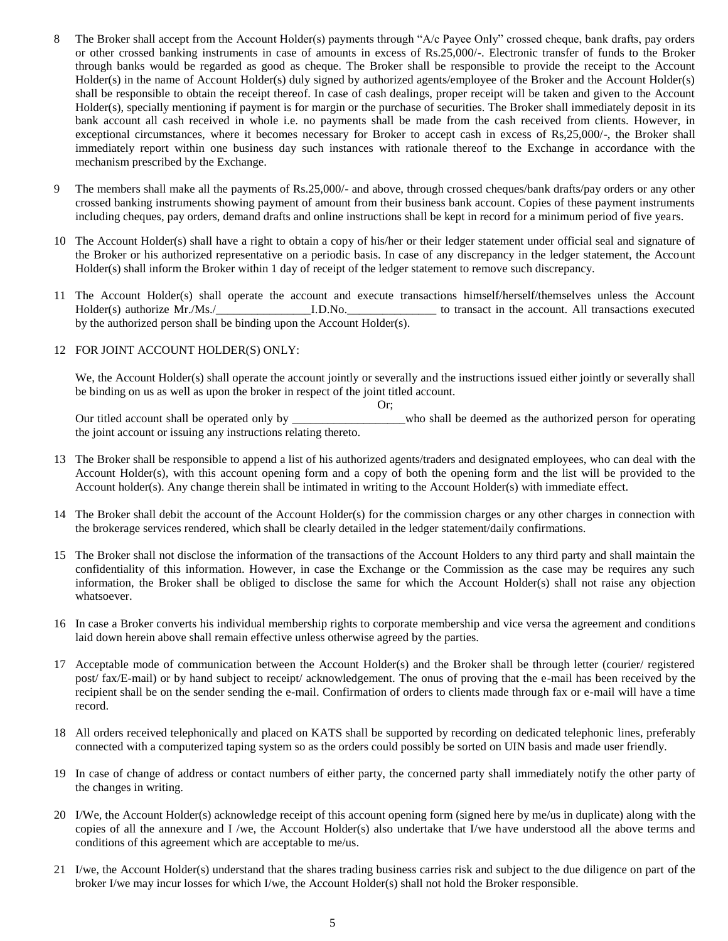- 8 The Broker shall accept from the Account Holder(s) payments through "A/c Payee Only" crossed cheque, bank drafts, pay orders or other crossed banking instruments in case of amounts in excess of Rs.25,000/-. Electronic transfer of funds to the Broker through banks would be regarded as good as cheque. The Broker shall be responsible to provide the receipt to the Account Holder(s) in the name of Account Holder(s) duly signed by authorized agents/employee of the Broker and the Account Holder(s) shall be responsible to obtain the receipt thereof. In case of cash dealings, proper receipt will be taken and given to the Account Holder(s), specially mentioning if payment is for margin or the purchase of securities. The Broker shall immediately deposit in its bank account all cash received in whole i.e. no payments shall be made from the cash received from clients. However, in exceptional circumstances, where it becomes necessary for Broker to accept cash in excess of Rs,25,000/-, the Broker shall immediately report within one business day such instances with rationale thereof to the Exchange in accordance with the mechanism prescribed by the Exchange.
- 9 The members shall make all the payments of Rs.25,000/- and above, through crossed cheques/bank drafts/pay orders or any other crossed banking instruments showing payment of amount from their business bank account. Copies of these payment instruments including cheques, pay orders, demand drafts and online instructions shall be kept in record for a minimum period of five years.
- 10 The Account Holder(s) shall have a right to obtain a copy of his/her or their ledger statement under official seal and signature of the Broker or his authorized representative on a periodic basis. In case of any discrepancy in the ledger statement, the Account Holder(s) shall inform the Broker within 1 day of receipt of the ledger statement to remove such discrepancy.
- 11 The Account Holder(s) shall operate the account and execute transactions himself/herself/themselves unless the Account Holder(s) authorize Mr./Ms./\_\_\_\_\_\_\_\_\_\_\_\_\_\_\_\_I.D.No.\_\_\_\_\_\_\_\_\_\_\_\_\_\_\_ to transact in the account. All transactions executed by the authorized person shall be binding upon the Account Holder(s).

#### 12 FOR JOINT ACCOUNT HOLDER(S) ONLY:

We, the Account Holder(s) shall operate the account jointly or severally and the instructions issued either jointly or severally shall be binding on us as well as upon the broker in respect of the joint titled account.

Or;

Our titled account shall be operated only by \_\_\_\_\_\_\_\_\_\_\_\_\_\_\_\_\_\_\_who shall be deemed as the authorized person for operating the joint account or issuing any instructions relating thereto.

- 13 The Broker shall be responsible to append a list of his authorized agents/traders and designated employees, who can deal with the Account Holder(s), with this account opening form and a copy of both the opening form and the list will be provided to the Account holder(s). Any change therein shall be intimated in writing to the Account Holder(s) with immediate effect.
- 14 The Broker shall debit the account of the Account Holder(s) for the commission charges or any other charges in connection with the brokerage services rendered, which shall be clearly detailed in the ledger statement/daily confirmations.
- 15 The Broker shall not disclose the information of the transactions of the Account Holders to any third party and shall maintain the confidentiality of this information. However, in case the Exchange or the Commission as the case may be requires any such information, the Broker shall be obliged to disclose the same for which the Account Holder(s) shall not raise any objection whatsoever.
- 16 In case a Broker converts his individual membership rights to corporate membership and vice versa the agreement and conditions laid down herein above shall remain effective unless otherwise agreed by the parties.
- 17 Acceptable mode of communication between the Account Holder(s) and the Broker shall be through letter (courier/ registered post/ fax/E-mail) or by hand subject to receipt/ acknowledgement. The onus of proving that the e-mail has been received by the recipient shall be on the sender sending the e-mail. Confirmation of orders to clients made through fax or e-mail will have a time record.
- 18 All orders received telephonically and placed on KATS shall be supported by recording on dedicated telephonic lines, preferably connected with a computerized taping system so as the orders could possibly be sorted on UIN basis and made user friendly.
- 19 In case of change of address or contact numbers of either party, the concerned party shall immediately notify the other party of the changes in writing.
- 20 I/We, the Account Holder(s) acknowledge receipt of this account opening form (signed here by me/us in duplicate) along with the copies of all the annexure and I /we, the Account Holder(s) also undertake that I/we have understood all the above terms and conditions of this agreement which are acceptable to me/us.
- 21 I/we, the Account Holder(s) understand that the shares trading business carries risk and subject to the due diligence on part of the broker I/we may incur losses for which I/we, the Account Holder(s) shall not hold the Broker responsible.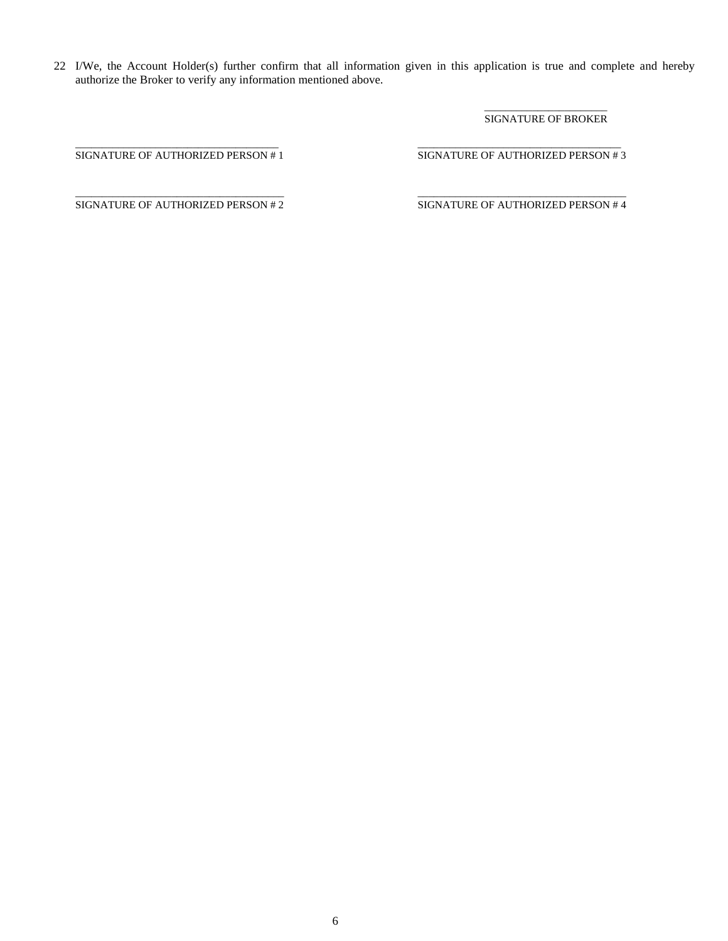22 I/We, the Account Holder(s) further confirm that all information given in this application is true and complete and hereby authorize the Broker to verify any information mentioned above.

#### $\overline{\phantom{a}}$  ,  $\overline{\phantom{a}}$  ,  $\overline{\phantom{a}}$  ,  $\overline{\phantom{a}}$  ,  $\overline{\phantom{a}}$  ,  $\overline{\phantom{a}}$  ,  $\overline{\phantom{a}}$  ,  $\overline{\phantom{a}}$  ,  $\overline{\phantom{a}}$  ,  $\overline{\phantom{a}}$  ,  $\overline{\phantom{a}}$  ,  $\overline{\phantom{a}}$  ,  $\overline{\phantom{a}}$  ,  $\overline{\phantom{a}}$  ,  $\overline{\phantom{a}}$  ,  $\overline{\phantom{a}}$ SIGNATURE OF BROKER

\_\_\_\_\_\_\_\_\_\_\_\_\_\_\_\_\_\_\_\_\_\_\_\_\_\_\_\_\_\_\_\_\_\_\_\_\_\_ \_\_\_\_\_\_\_\_\_\_\_\_\_\_\_\_\_\_\_\_\_\_\_\_\_\_\_\_\_\_\_\_\_\_\_\_\_\_ SIGNATURE OF AUTHORIZED PERSON # 1 SIGNATURE OF AUTHORIZED PERSON # 3

\_\_\_\_\_\_\_\_\_\_\_\_\_\_\_\_\_\_\_\_\_\_\_\_\_\_\_\_\_\_\_\_\_\_\_\_\_\_\_ \_\_\_\_\_\_\_\_\_\_\_\_\_\_\_\_\_\_\_\_\_\_\_\_\_\_\_\_\_\_\_\_\_\_\_\_\_\_\_ SIGNATURE OF AUTHORIZED PERSON # 2 SIGNATURE OF AUTHORIZED PERSON # 4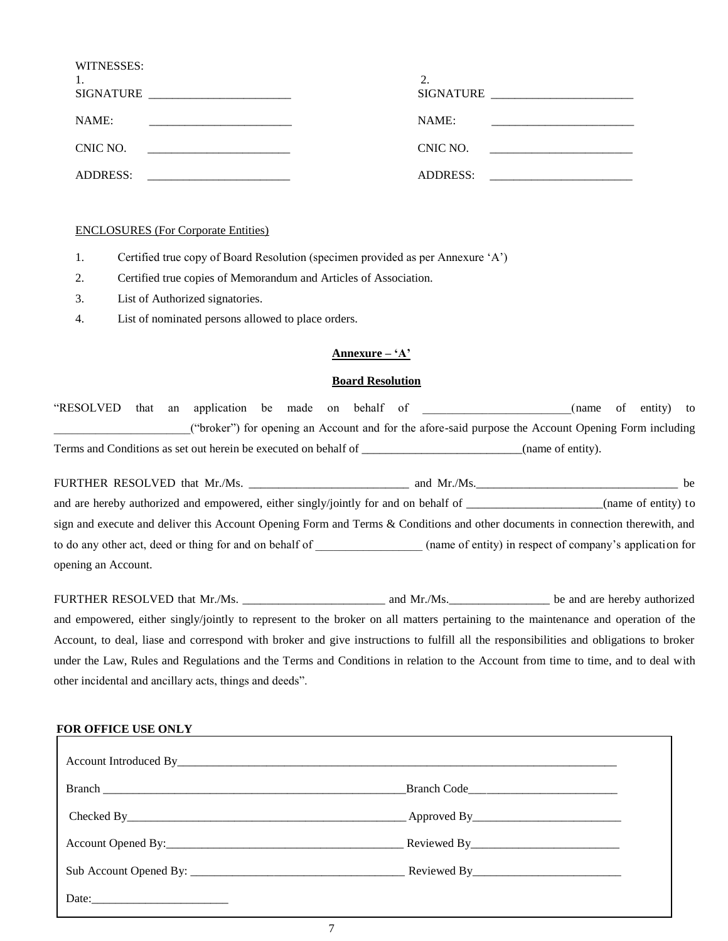| WITNESSES:<br>1.<br>SIGNATURE | ↑<br>SIGNATURE  |
|-------------------------------|-----------------|
| NAME:                         | NAME:           |
| CNIC NO.                      | CNIC NO.        |
| <b>ADDRESS:</b>               | <b>ADDRESS:</b> |

# ENCLOSURES (For Corporate Entities)

- 1. Certified true copy of Board Resolution (specimen provided as per Annexure "A")
- 2. Certified true copies of Memorandum and Articles of Association.
- 3. List of Authorized signatories.
- 4. List of nominated persons allowed to place orders.

# **Annexure – "A"**

# **Board Resolution**

| "RESOLVED                                                       |  | that an application be made on behalf of |  |  |                                                                                                     | name) | of entity) to |  |
|-----------------------------------------------------------------|--|------------------------------------------|--|--|-----------------------------------------------------------------------------------------------------|-------|---------------|--|
|                                                                 |  |                                          |  |  | ("broker") for opening an Account and for the afore-said purpose the Account Opening Form including |       |               |  |
| Terms and Conditions as set out herein be executed on behalf of |  |                                          |  |  | (name of entity).                                                                                   |       |               |  |

| FURTHER RESOLVED that Mr./Ms.                                                                                                  | and Mr./Ms. | he.                                                      |
|--------------------------------------------------------------------------------------------------------------------------------|-------------|----------------------------------------------------------|
| and are hereby authorized and empowered, either singly/jointly for and on behalf of                                            |             | (name of entity) to                                      |
| sign and execute and deliver this Account Opening Form and Terms & Conditions and other documents in connection therewith, and |             |                                                          |
| to do any other act, deed or thing for and on behalf of                                                                        |             | (name of entity) in respect of company's application for |
| opening an Account.                                                                                                            |             |                                                          |

| FURTHER RESOLVED that Mr./Ms.                                                                                                          | and $Mr.Ms$ . | be and are hereby authorized |
|----------------------------------------------------------------------------------------------------------------------------------------|---------------|------------------------------|
| and empowered, either singly/jointly to represent to the broker on all matters pertaining to the maintenance and operation of the      |               |                              |
| Account, to deal, liase and correspond with broker and give instructions to fulfill all the responsibilities and obligations to broker |               |                              |
| under the Law, Rules and Regulations and the Terms and Conditions in relation to the Account from time to time, and to deal with       |               |                              |
| other incidental and ancillary acts, things and deeds".                                                                                |               |                              |

#### **FOR OFFICE USE ONLY**

|                           | Branch Code |
|---------------------------|-------------|
|                           |             |
|                           |             |
|                           |             |
| Date: $\frac{1}{2}$ Date: |             |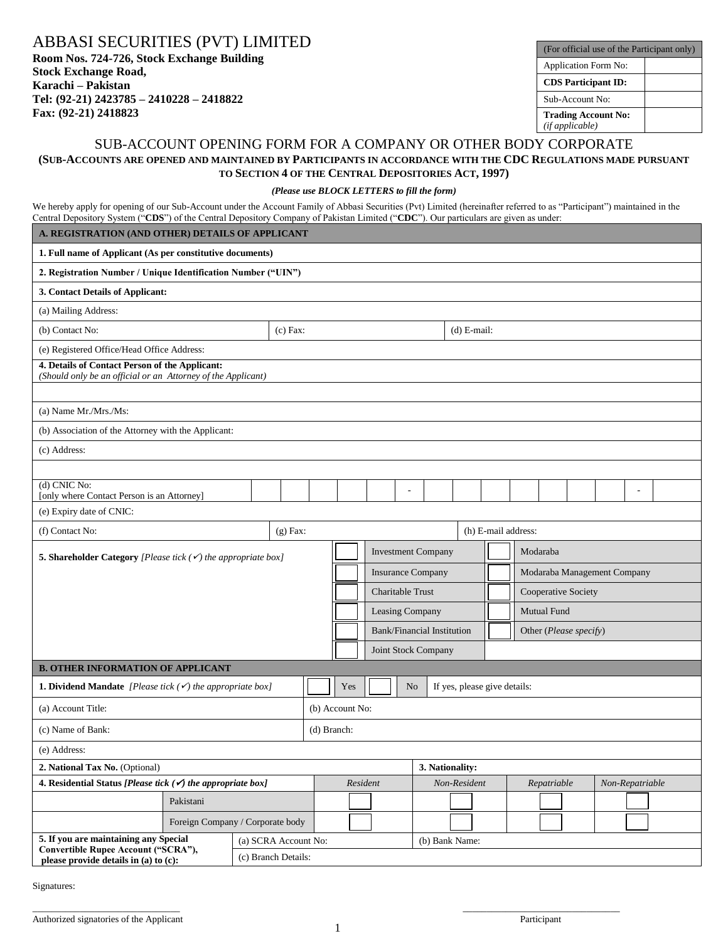ABBASI SECURITIES (PVT) LIMITED

**Room Nos. 724-726, Stock Exchange Building Stock Exchange Road, Karachi – Pakistan Tel: (92-21) 2423785 – 2410228 – 2418822 Fax: (92-21) 2418823** 

| (For official use of the Participant only)    |  |  |  |  |  |  |
|-----------------------------------------------|--|--|--|--|--|--|
| <b>Application Form No:</b>                   |  |  |  |  |  |  |
| <b>CDS</b> Participant ID:                    |  |  |  |  |  |  |
| Sub-Account No:                               |  |  |  |  |  |  |
| <b>Trading Account No:</b><br>(if applicable) |  |  |  |  |  |  |

# SUB-ACCOUNT OPENING FORM FOR A COMPANY OR OTHER BODY CORPORATE **(SUB-ACCOUNTS ARE OPENED AND MAINTAINED BY PARTICIPANTS IN ACCORDANCE WITH THE CDC REGULATIONS MADE PURSUANT TO SECTION 4 OF THE CENTRAL DEPOSITORIES ACT, 1997)**

#### *(Please use BLOCK LETTERS to fill the form)*

We hereby apply for opening of our Sub-Account under the Account Family of Abbasi Securities (Pvt) Limited (hereinafter referred to as "Participant") maintained in the Central Depository System ("**CDS**") of the Central Depository Company of Pakistan Limited ("**CDC**"). Our particulars are given as under:

|                                                                                                                | A. REGISTRATION (AND OTHER) DETAILS OF APPLICANT |                                  |             |                 |                                       |                |                                   |               |                              |  |             |                        |  |                 |  |
|----------------------------------------------------------------------------------------------------------------|--------------------------------------------------|----------------------------------|-------------|-----------------|---------------------------------------|----------------|-----------------------------------|---------------|------------------------------|--|-------------|------------------------|--|-----------------|--|
| 1. Full name of Applicant (As per constitutive documents)                                                      |                                                  |                                  |             |                 |                                       |                |                                   |               |                              |  |             |                        |  |                 |  |
| 2. Registration Number / Unique Identification Number ("UIN")                                                  |                                                  |                                  |             |                 |                                       |                |                                   |               |                              |  |             |                        |  |                 |  |
| 3. Contact Details of Applicant:                                                                               |                                                  |                                  |             |                 |                                       |                |                                   |               |                              |  |             |                        |  |                 |  |
| (a) Mailing Address:                                                                                           |                                                  |                                  |             |                 |                                       |                |                                   |               |                              |  |             |                        |  |                 |  |
| (b) Contact No:                                                                                                |                                                  | $(c)$ Fax:                       |             |                 |                                       |                |                                   | $(d)$ E-mail: |                              |  |             |                        |  |                 |  |
| (e) Registered Office/Head Office Address:                                                                     |                                                  |                                  |             |                 |                                       |                |                                   |               |                              |  |             |                        |  |                 |  |
| 4. Details of Contact Person of the Applicant:<br>(Should only be an official or an Attorney of the Applicant) |                                                  |                                  |             |                 |                                       |                |                                   |               |                              |  |             |                        |  |                 |  |
|                                                                                                                |                                                  |                                  |             |                 |                                       |                |                                   |               |                              |  |             |                        |  |                 |  |
| (a) Name Mr./Mrs./Ms:                                                                                          |                                                  |                                  |             |                 |                                       |                |                                   |               |                              |  |             |                        |  |                 |  |
| (b) Association of the Attorney with the Applicant:                                                            |                                                  |                                  |             |                 |                                       |                |                                   |               |                              |  |             |                        |  |                 |  |
| (c) Address:                                                                                                   |                                                  |                                  |             |                 |                                       |                |                                   |               |                              |  |             |                        |  |                 |  |
|                                                                                                                |                                                  |                                  |             |                 |                                       |                |                                   |               |                              |  |             |                        |  |                 |  |
| (d) CNIC No:<br>[only where Contact Person is an Attorney]                                                     |                                                  |                                  |             |                 |                                       |                |                                   |               |                              |  |             |                        |  |                 |  |
| (e) Expiry date of CNIC:                                                                                       |                                                  |                                  |             |                 |                                       |                |                                   |               |                              |  |             |                        |  |                 |  |
| (f) Contact No:                                                                                                |                                                  | $(g)$ Fax:                       |             |                 |                                       |                |                                   |               | (h) E-mail address:          |  |             |                        |  |                 |  |
| 5. Shareholder Category [Please tick $(\checkmark)$ the appropriate box]                                       |                                                  |                                  |             |                 | <b>Investment Company</b><br>Modaraba |                |                                   |               |                              |  |             |                        |  |                 |  |
|                                                                                                                |                                                  |                                  |             |                 | <b>Insurance Company</b>              |                |                                   |               | Modaraba Management Company  |  |             |                        |  |                 |  |
|                                                                                                                |                                                  |                                  |             |                 | Charitable Trust                      |                |                                   |               | Cooperative Society          |  |             |                        |  |                 |  |
|                                                                                                                |                                                  |                                  |             |                 | Leasing Company                       |                |                                   |               | Mutual Fund                  |  |             |                        |  |                 |  |
|                                                                                                                |                                                  |                                  |             |                 |                                       |                | <b>Bank/Financial Institution</b> |               |                              |  |             | Other (Please specify) |  |                 |  |
|                                                                                                                |                                                  |                                  |             |                 |                                       |                | Joint Stock Company               |               |                              |  |             |                        |  |                 |  |
| <b>B. OTHER INFORMATION OF APPLICANT</b>                                                                       |                                                  |                                  |             |                 |                                       |                |                                   |               |                              |  |             |                        |  |                 |  |
| <b>1. Dividend Mandate</b> [Please tick $(\checkmark)$ the appropriate box]                                    |                                                  |                                  |             | Yes             |                                       | N <sub>o</sub> |                                   |               | If yes, please give details: |  |             |                        |  |                 |  |
| (a) Account Title:                                                                                             |                                                  |                                  |             | (b) Account No: |                                       |                |                                   |               |                              |  |             |                        |  |                 |  |
| (c) Name of Bank:                                                                                              |                                                  |                                  | (d) Branch: |                 |                                       |                |                                   |               |                              |  |             |                        |  |                 |  |
| (e) Address:                                                                                                   |                                                  |                                  |             |                 |                                       |                |                                   |               |                              |  |             |                        |  |                 |  |
| 2. National Tax No. (Optional)                                                                                 |                                                  |                                  |             |                 |                                       |                | 3. Nationality:                   |               |                              |  |             |                        |  |                 |  |
| 4. Residential Status [Please tick $(\checkmark)$ the appropriate box]                                         |                                                  |                                  |             | Resident        |                                       |                |                                   | Non-Resident  |                              |  | Repatriable |                        |  | Non-Repatriable |  |
|                                                                                                                | Pakistani                                        |                                  |             |                 |                                       |                |                                   |               |                              |  |             |                        |  |                 |  |
|                                                                                                                |                                                  | Foreign Company / Corporate body |             |                 |                                       |                |                                   |               |                              |  |             |                        |  |                 |  |
| 5. If you are maintaining any Special<br>Convertible Rupee Account ("SCRA"),                                   |                                                  | (a) SCRA Account No:             |             |                 |                                       |                | (b) Bank Name:                    |               |                              |  |             |                        |  |                 |  |
| please provide details in (a) to (c):                                                                          |                                                  | (c) Branch Details:              |             |                 |                                       |                |                                   |               |                              |  |             |                        |  |                 |  |

Signatures:

 $\_$  , and the contribution of the contribution of the contribution of the contribution of  $\_$  , and  $\_$  , and  $\_$  , and  $\_$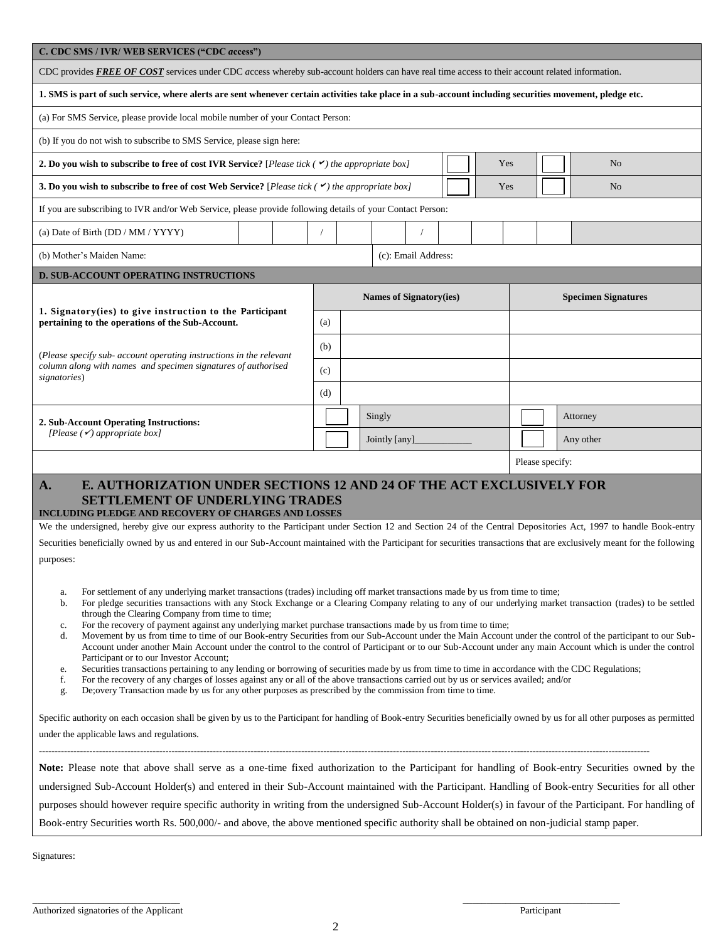| C. CDC SMS / IVR/ WEB SERVICES ("CDC access")                                                                                                                                                                                                                                                                                  |     |        |                                |  |                 |                            |          |           |  |  |  |
|--------------------------------------------------------------------------------------------------------------------------------------------------------------------------------------------------------------------------------------------------------------------------------------------------------------------------------|-----|--------|--------------------------------|--|-----------------|----------------------------|----------|-----------|--|--|--|
| CDC provides FREE OF COST services under CDC access whereby sub-account holders can have real time access to their account related information.                                                                                                                                                                                |     |        |                                |  |                 |                            |          |           |  |  |  |
| 1. SMS is part of such service, where alerts are sent whenever certain activities take place in a sub-account including securities movement, pledge etc.                                                                                                                                                                       |     |        |                                |  |                 |                            |          |           |  |  |  |
| (a) For SMS Service, please provide local mobile number of your Contact Person:                                                                                                                                                                                                                                                |     |        |                                |  |                 |                            |          |           |  |  |  |
| (b) If you do not wish to subscribe to SMS Service, please sign here:                                                                                                                                                                                                                                                          |     |        |                                |  |                 |                            |          |           |  |  |  |
| 2. Do you wish to subscribe to free of cost IVR Service? [Please tick $(\checkmark)$ the appropriate box]<br>Yes<br>N <sub>o</sub>                                                                                                                                                                                             |     |        |                                |  |                 |                            |          |           |  |  |  |
| 3. Do you wish to subscribe to free of cost Web Service? [Please tick $(\checkmark)$ the appropriate box]<br>Yes<br>No                                                                                                                                                                                                         |     |        |                                |  |                 |                            |          |           |  |  |  |
| If you are subscribing to IVR and/or Web Service, please provide following details of your Contact Person:                                                                                                                                                                                                                     |     |        |                                |  |                 |                            |          |           |  |  |  |
| (a) Date of Birth (DD / MM / YYYY)                                                                                                                                                                                                                                                                                             |     |        |                                |  |                 |                            |          |           |  |  |  |
| (b) Mother's Maiden Name:<br>(c): Email Address:                                                                                                                                                                                                                                                                               |     |        |                                |  |                 |                            |          |           |  |  |  |
| <b>D. SUB-ACCOUNT OPERATING INSTRUCTIONS</b>                                                                                                                                                                                                                                                                                   |     |        |                                |  |                 |                            |          |           |  |  |  |
|                                                                                                                                                                                                                                                                                                                                |     |        | <b>Names of Signatory(ies)</b> |  |                 | <b>Specimen Signatures</b> |          |           |  |  |  |
| 1. Signatory(ies) to give instruction to the Participant<br>pertaining to the operations of the Sub-Account.                                                                                                                                                                                                                   | (a) |        |                                |  |                 |                            |          |           |  |  |  |
|                                                                                                                                                                                                                                                                                                                                | (b) |        |                                |  |                 |                            |          |           |  |  |  |
| (Please specify sub- account operating instructions in the relevant<br>column along with names and specimen signatures of authorised                                                                                                                                                                                           | (c) |        |                                |  |                 |                            |          |           |  |  |  |
| signatories)                                                                                                                                                                                                                                                                                                                   | (d) |        |                                |  |                 |                            |          |           |  |  |  |
|                                                                                                                                                                                                                                                                                                                                |     | Singly |                                |  |                 |                            | Attorney |           |  |  |  |
| 2. Sub-Account Operating Instructions:<br>[Please $(\checkmark)$ appropriate box]                                                                                                                                                                                                                                              |     |        | Jointly [any]                  |  |                 |                            |          | Any other |  |  |  |
|                                                                                                                                                                                                                                                                                                                                |     |        |                                |  | Please specify: |                            |          |           |  |  |  |
| E. AUTHORIZATION UNDER SECTIONS 12 AND 24 OF THE ACT EXCLUSIVELY FOR<br>A.                                                                                                                                                                                                                                                     |     |        |                                |  |                 |                            |          |           |  |  |  |
| <b>SETTLEMENT OF UNDERLYING TRADES</b>                                                                                                                                                                                                                                                                                         |     |        |                                |  |                 |                            |          |           |  |  |  |
| INCLUDING PLEDGE AND RECOVERY OF CHARGES AND LOSSES<br>We the undersigned, hereby give our express authority to the Participant under Section 12 and Section 24 of the Central Depositories Act, 1997 to handle Book-entry                                                                                                     |     |        |                                |  |                 |                            |          |           |  |  |  |
| Securities beneficially owned by us and entered in our Sub-Account maintained with the Participant for securities transactions that are exclusively meant for the following                                                                                                                                                    |     |        |                                |  |                 |                            |          |           |  |  |  |
| purposes:                                                                                                                                                                                                                                                                                                                      |     |        |                                |  |                 |                            |          |           |  |  |  |
| For settlement of any underlying market transactions (trades) including off market transactions made by us from time to time;<br>a.                                                                                                                                                                                            |     |        |                                |  |                 |                            |          |           |  |  |  |
| For pledge securities transactions with any Stock Exchange or a Clearing Company relating to any of our underlying market transaction (trades) to be settled<br>b.<br>through the Clearing Company from time to time;                                                                                                          |     |        |                                |  |                 |                            |          |           |  |  |  |
| For the recovery of payment against any underlying market purchase transactions made by us from time to time;<br>c.                                                                                                                                                                                                            |     |        |                                |  |                 |                            |          |           |  |  |  |
| Movement by us from time to time of our Book-entry Securities from our Sub-Account under the Main Account under the control of the participant to our Sub-<br>d.<br>Account under another Main Account under the control to the control of Participant or to our Sub-Account under any main Account which is under the control |     |        |                                |  |                 |                            |          |           |  |  |  |
| Participant or to our Investor Account;<br>Securities transactions pertaining to any lending or borrowing of securities made by us from time to time in accordance with the CDC Regulations;<br>e.                                                                                                                             |     |        |                                |  |                 |                            |          |           |  |  |  |
| For the recovery of any charges of losses against any or all of the above transactions carried out by us or services availed; and/or<br>f.<br>De; overy Transaction made by us for any other purposes as prescribed by the commission from time to time.<br>g.                                                                 |     |        |                                |  |                 |                            |          |           |  |  |  |
|                                                                                                                                                                                                                                                                                                                                |     |        |                                |  |                 |                            |          |           |  |  |  |
| Specific authority on each occasion shall be given by us to the Participant for handling of Book-entry Securities beneficially owned by us for all other purposes as permitted<br>under the applicable laws and regulations.                                                                                                   |     |        |                                |  |                 |                            |          |           |  |  |  |
|                                                                                                                                                                                                                                                                                                                                |     |        |                                |  |                 |                            |          |           |  |  |  |
| Note: Please note that above shall serve as a one-time fixed authorization to the Participant for handling of Book-entry Securities owned by the                                                                                                                                                                               |     |        |                                |  |                 |                            |          |           |  |  |  |
| undersigned Sub-Account Holder(s) and entered in their Sub-Account maintained with the Participant. Handling of Book-entry Securities for all other                                                                                                                                                                            |     |        |                                |  |                 |                            |          |           |  |  |  |
| purposes should however require specific authority in writing from the undersigned Sub-Account Holder(s) in favour of the Participant. For handling of<br>Book-entry Securities worth Rs. 500,000/- and above, the above mentioned specific authority shall be obtained on non-judicial stamp paper.                           |     |        |                                |  |                 |                            |          |           |  |  |  |
|                                                                                                                                                                                                                                                                                                                                |     |        |                                |  |                 |                            |          |           |  |  |  |

Signatures: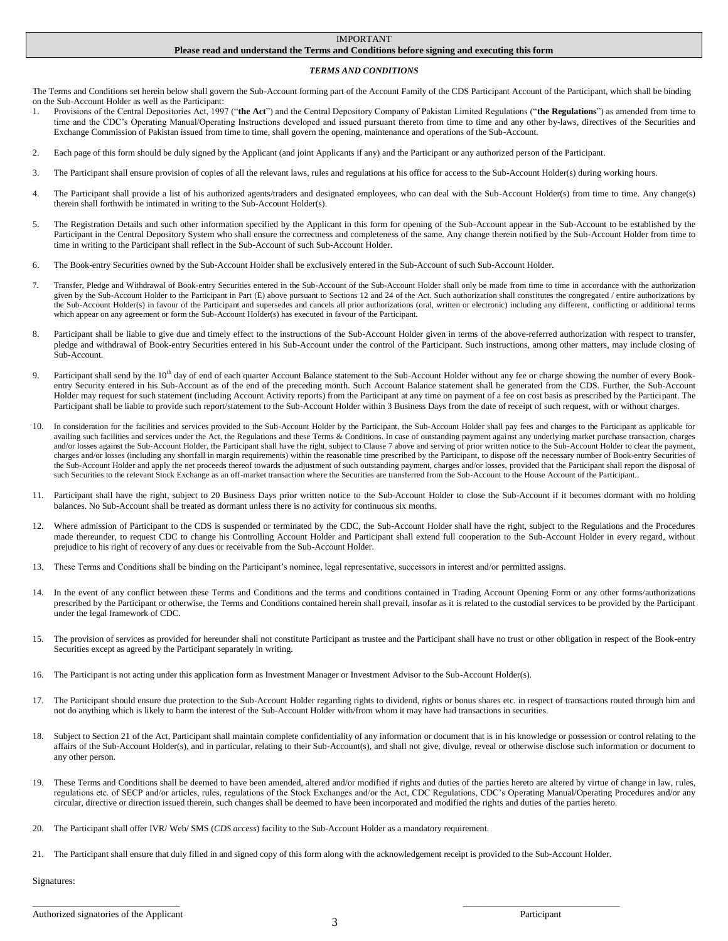#### IMPORTANT

#### **Please read and understand the Terms and Conditions before signing and executing this form**

#### *TERMS AND CONDITIONS*

The Terms and Conditions set herein below shall govern the Sub-Account forming part of the Account Family of the CDS Participant Account of the Participant, which shall be binding on the Sub-Account Holder as well as the Participant:

- 1. Provisions of the Central Depositories Act, 1997 ("**the Act**") and the Central Depository Company of Pakistan Limited Regulations ("**the Regulations**") as amended from time to time and the CDC"s Operating Manual/Operating Instructions developed and issued pursuant thereto from time to time and any other by-laws, directives of the Securities and Exchange Commission of Pakistan issued from time to time, shall govern the opening, maintenance and operations of the Sub-Account.
- 2. Each page of this form should be duly signed by the Applicant (and joint Applicants if any) and the Participant or any authorized person of the Participant.
- 3. The Participant shall ensure provision of copies of all the relevant laws, rules and regulations at his office for access to the Sub-Account Holder(s) during working hours.
- 4. The Participant shall provide a list of his authorized agents/traders and designated employees, who can deal with the Sub-Account Holder(s) from time to time. Any change(s) therein shall forthwith be intimated in writing to the Sub-Account Holder(s).
- 5. The Registration Details and such other information specified by the Applicant in this form for opening of the Sub-Account appear in the Sub-Account to be established by the Participant in the Central Depository System who shall ensure the correctness and completeness of the same. Any change therein notified by the Sub-Account Holder from time to time in writing to the Participant shall reflect in the Sub-Account of such Sub-Account Holder.
- 6. The Book-entry Securities owned by the Sub-Account Holder shall be exclusively entered in the Sub-Account of such Sub-Account Holder.
- 7. Transfer, Pledge and Withdrawal of Book-entry Securities entered in the Sub-Account of the Sub-Account Holder shall only be made from time to time in accordance with the authorization given by the Sub-Account Holder to the Participant in Part (E) above pursuant to Sections 12 and 24 of the Act. Such authorization shall constitutes the congregated / entire authorizations by the Sub-Account Holder(s) in favour of the Participant and supersedes and cancels all prior authorizations (oral, written or electronic) including any different, conflicting or additional terms which appear on any agreement or form the Sub-Account Holder(s) has executed in favour of the Participant.
- 8. Participant shall be liable to give due and timely effect to the instructions of the Sub-Account Holder given in terms of the above-referred authorization with respect to transfer, pledge and withdrawal of Book-entry Securities entered in his Sub-Account under the control of the Participant. Such instructions, among other matters, may include closing of Sub-Account.
- 9. Participant shall send by the 10<sup>th</sup> day of end of each quarter Account Balance statement to the Sub-Account Holder without any fee or charge showing the number of every Bookentry Security entered in his Sub-Account as of the end of the preceding month. Such Account Balance statement shall be generated from the CDS. Further, the Sub-Account Holder may request for such statement (including Account Activity reports) from the Participant at any time on payment of a fee on cost basis as prescribed by the Participant. The Participant shall be liable to provide such report/statement to the Sub-Account Holder within 3 Business Days from the date of receipt of such request, with or without charges.
- 10. In consideration for the facilities and services provided to the Sub-Account Holder by the Participant, the Sub-Account Holder shall pay fees and charges to the Participant as applicable for availing such facilities and services under the Act, the Regulations and these Terms & Conditions. In case of outstanding payment against any underlying market purchase transaction, charges and/or losses against the Sub-Account Holder, the Participant shall have the right, subject to Clause 7 above and serving of prior written notice to the Sub-Account Holder to clear the payment, charges and/or losses (including any shortfall in margin requirements) within the reasonable time prescribed by the Participant, to dispose off the necessary number of Book-entry Securities of the Sub-Account Holder and apply the net proceeds thereof towards the adjustment of such outstanding payment, charges and/or losses, provided that the Participant shall report the disposal of such Securities to the relevant Stock Exchange as an off-market transaction where the Securities are transferred from the Sub-Account to the House Account of the Participant..
- 11. Participant shall have the right, subject to 20 Business Days prior written notice to the Sub-Account Holder to close the Sub-Account if it becomes dormant with no holding balances. No Sub-Account shall be treated as dormant unless there is no activity for continuous six months.
- 12. Where admission of Participant to the CDS is suspended or terminated by the CDC, the Sub-Account Holder shall have the right, subject to the Regulations and the Procedures made thereunder, to request CDC to change his Controlling Account Holder and Participant shall extend full cooperation to the Sub-Account Holder in every regard, without prejudice to his right of recovery of any dues or receivable from the Sub-Account Holder.
- 13. These Terms and Conditions shall be binding on the Participant"s nominee, legal representative, successors in interest and/or permitted assigns.
- 14. In the event of any conflict between these Terms and Conditions and the terms and conditions contained in Trading Account Opening Form or any other forms/authorizations prescribed by the Participant or otherwise, the Terms and Conditions contained herein shall prevail, insofar as it is related to the custodial services to be provided by the Participant under the legal framework of CDC.
- 15. The provision of services as provided for hereunder shall not constitute Participant as trustee and the Participant shall have no trust or other obligation in respect of the Book-entry Securities except as agreed by the Participant separately in writing.
- 16. The Participant is not acting under this application form as Investment Manager or Investment Advisor to the Sub-Account Holder(s).
- 17. The Participant should ensure due protection to the Sub-Account Holder regarding rights to dividend, rights or bonus shares etc. in respect of transactions routed through him and not do anything which is likely to harm the interest of the Sub-Account Holder with/from whom it may have had transactions in securities.
- 18. Subject to Section 21 of the Act, Participant shall maintain complete confidentiality of any information or document that is in his knowledge or possession or control relating to the affairs of the Sub-Account Holder(s), and in particular, relating to their Sub-Account(s), and shall not give, divulge, reveal or otherwise disclose such information or document to any other person.
- 19. These Terms and Conditions shall be deemed to have been amended, altered and/or modified if rights and duties of the parties hereto are altered by virtue of change in law, rules, regulations etc. of SECP and/or articles, rules, regulations of the Stock Exchanges and/or the Act, CDC Regulations, CDC"s Operating Manual/Operating Procedures and/or any circular, directive or direction issued therein, such changes shall be deemed to have been incorporated and modified the rights and duties of the parties hereto.
- 20. The Participant shall offer IVR/ Web/ SMS (*CDS access*) facility to the Sub-Account Holder as a mandatory requirement.
- 21. The Participant shall ensure that duly filled in and signed copy of this form along with the acknowledgement receipt is provided to the Sub-Account Holder.

Signatures:

\_\_\_\_\_\_\_\_\_\_\_\_\_\_\_\_\_\_\_\_\_\_\_\_\_\_\_\_\_\_\_ \_\_\_\_\_\_\_\_\_\_\_\_\_\_\_\_\_\_\_\_\_\_\_\_\_\_\_\_\_\_\_\_\_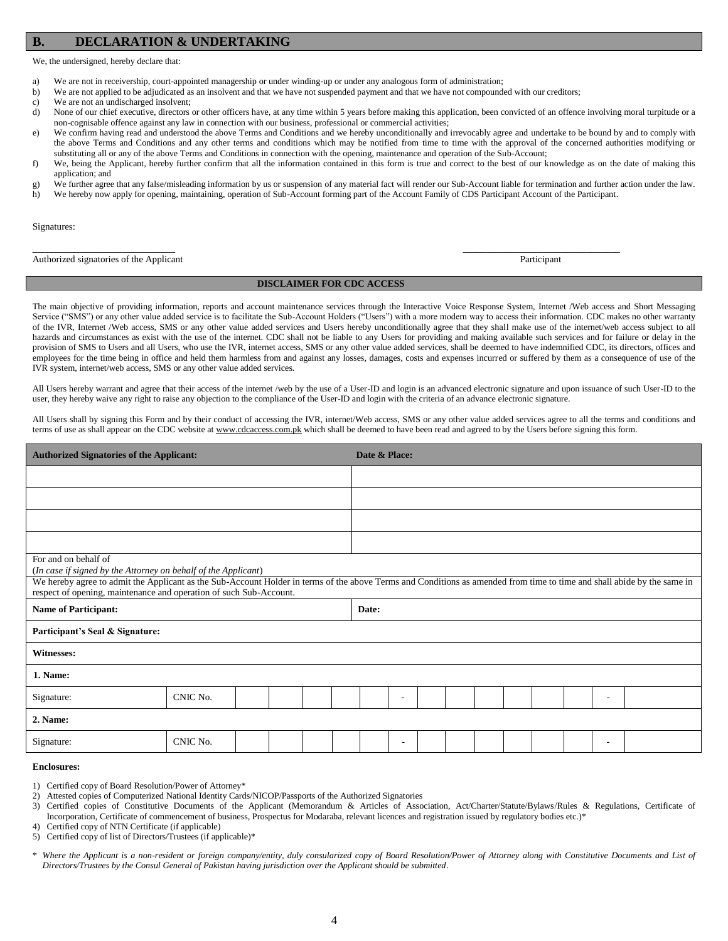#### **B. DECLARATION & UNDERTAKING**

We, the undersigned, hereby declare that:

- a) We are not in receivership, court-appointed managership or under winding-up or under any analogous form of administration;
- b) We are not applied to be adjudicated as an insolvent and that we have not suspended payment and that we have not compounded with our creditors;
- c) We are not an undischarged insolvent;
- d) None of our chief executive, directors or other officers have, at any time within 5 years before making this application, been convicted of an offence involving moral turpitude or a non-cognisable offence against any law in connection with our business, professional or commercial activities;
- e) We confirm having read and understood the above Terms and Conditions and we hereby unconditionally and irrevocably agree and undertake to be bound by and to comply with the above Terms and Conditions and any other terms and conditions which may be notified from time to time with the approval of the concerned authorities modifying or substituting all or any of the above Terms and Conditions in connection with the opening, maintenance and operation of the Sub-Account;
- f) We, being the Applicant, hereby further confirm that all the information contained in this form is true and correct to the best of our knowledge as on the date of making this application; and
- g) We further agree that any false/misleading information by us or suspension of any material fact will render our Sub-Account liable for termination and further action under the law.
- h) We hereby now apply for opening, maintaining, operation of Sub-Account forming part of the Account Family of CDS Participant Account of the Participant.

Signatures:

Authorized signatories of the Applicant Participant

#### **DISCLAIMER FOR CDC ACCESS**

\_\_\_\_\_\_\_\_\_\_\_\_\_\_\_\_\_\_\_\_\_\_\_\_\_\_\_\_\_\_ \_\_\_\_\_\_\_\_\_\_\_\_\_\_\_\_\_\_\_\_\_\_\_\_\_\_\_\_\_\_\_\_\_

The main objective of providing information, reports and account maintenance services through the Interactive Voice Response System, Internet /Web access and Short Messaging Service ("SMS") or any other value added service is to facilitate the Sub-Account Holders ("Users") with a more modern way to access their information. CDC makes no other warranty of the IVR, Internet /Web access, SMS or any other value added services and Users hereby unconditionally agree that they shall make use of the internet/web access subject to all hazards and circumstances as exist with the use of the internet. CDC shall not be liable to any Users for providing and making available such services and for failure or delay in the provision of SMS to Users and all Users, who use the IVR, internet access, SMS or any other value added services, shall be deemed to have indemnified CDC, its directors, offices and employees for the time being in office and held them harmless from and against any losses, damages, costs and expenses incurred or suffered by them as a consequence of use of the IVR system, internet/web access, SMS or any other value added services.

All Users hereby warrant and agree that their access of the internet /web by the use of a User-ID and login is an advanced electronic signature and upon issuance of such User-ID to the user, they hereby waive any right to raise any objection to the compliance of the User-ID and login with the criteria of an advance electronic signature.

All Users shall by signing this Form and by their conduct of accessing the IVR, internet/Web access, SMS or any other value added services agree to all the terms and conditions and terms of use as shall appear on the CDC website a[t www.cdcaccess.com.pk](http://www.cdcaccess.com.pk/) which shall be deemed to have been read and agreed to by the Users before signing this form.

| <b>Authorized Signatories of the Applicant:</b>                                                                                                                                                                                               |          |  |  |  | Date & Place: |       |   |  |  |  |  |  |  |   |  |
|-----------------------------------------------------------------------------------------------------------------------------------------------------------------------------------------------------------------------------------------------|----------|--|--|--|---------------|-------|---|--|--|--|--|--|--|---|--|
|                                                                                                                                                                                                                                               |          |  |  |  |               |       |   |  |  |  |  |  |  |   |  |
|                                                                                                                                                                                                                                               |          |  |  |  |               |       |   |  |  |  |  |  |  |   |  |
|                                                                                                                                                                                                                                               |          |  |  |  |               |       |   |  |  |  |  |  |  |   |  |
|                                                                                                                                                                                                                                               |          |  |  |  |               |       |   |  |  |  |  |  |  |   |  |
| For and on behalf of<br>(In case if signed by the Attorney on behalf of the Applicant)                                                                                                                                                        |          |  |  |  |               |       |   |  |  |  |  |  |  |   |  |
| We hereby agree to admit the Applicant as the Sub-Account Holder in terms of the above Terms and Conditions as amended from time to time and shall abide by the same in<br>respect of opening, maintenance and operation of such Sub-Account. |          |  |  |  |               |       |   |  |  |  |  |  |  |   |  |
| <b>Name of Participant:</b>                                                                                                                                                                                                                   |          |  |  |  |               | Date: |   |  |  |  |  |  |  |   |  |
| Participant's Seal & Signature:                                                                                                                                                                                                               |          |  |  |  |               |       |   |  |  |  |  |  |  |   |  |
| Witnesses:                                                                                                                                                                                                                                    |          |  |  |  |               |       |   |  |  |  |  |  |  |   |  |
| 1. Name:                                                                                                                                                                                                                                      |          |  |  |  |               |       |   |  |  |  |  |  |  |   |  |
| Signature:                                                                                                                                                                                                                                    | CNIC No. |  |  |  |               |       | ٠ |  |  |  |  |  |  | ٠ |  |
| 2. Name:                                                                                                                                                                                                                                      |          |  |  |  |               |       |   |  |  |  |  |  |  |   |  |
| Signature:                                                                                                                                                                                                                                    | CNIC No. |  |  |  |               |       | ٠ |  |  |  |  |  |  | ٠ |  |

#### **Enclosures:**

1) Certified copy of Board Resolution/Power of Attorney\*

- 2) Attested copies of Computerized National Identity Cards/NICOP/Passports of the Authorized Signatories
- 3) Certified copies of Constitutive Documents of the Applicant (Memorandum & Articles of Association, Act/Charter/Statute/Bylaws/Rules & Regulations, Certificate of Incorporation, Certificate of commencement of business, Prospectus for Modaraba, relevant licences and registration issued by regulatory bodies etc.)\*
- 4) Certified copy of NTN Certificate (if applicable)
- 5) Certified copy of list of Directors/Trustees (if applicable)\*
- \* *Where the Applicant is a non-resident or foreign company/entity, duly consularized copy of Board Resolution/Power of Attorney along with Constitutive Documents and List of Directors/Trustees by the Consul General of Pakistan having jurisdiction over the Applicant should be submitted*.